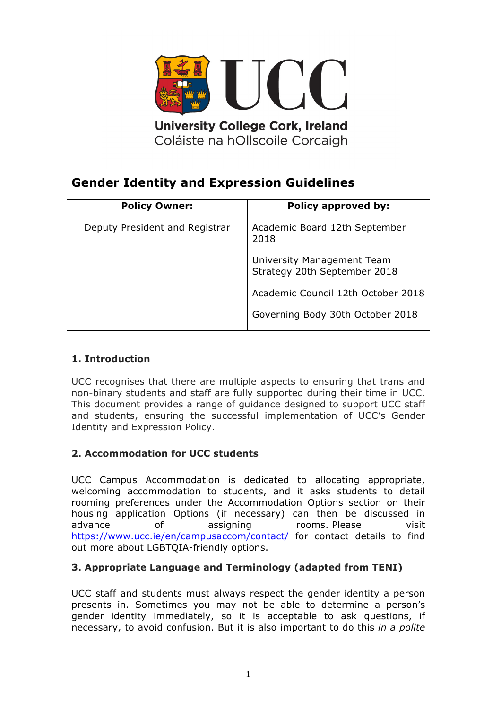

**University College Cork, Ireland** Coláiste na hOllscoile Corcaigh

# **Gender Identity and Expression Guidelines**

| <b>Policy Owner:</b>           | Policy approved by:                                        |
|--------------------------------|------------------------------------------------------------|
| Deputy President and Registrar | Academic Board 12th September<br>2018                      |
|                                | University Management Team<br>Strategy 20th September 2018 |
|                                | Academic Council 12th October 2018                         |
|                                | Governing Body 30th October 2018                           |

# **1. Introduction**

UCC recognises that there are multiple aspects to ensuring that trans and non-binary students and staff are fully supported during their time in UCC. This document provides a range of guidance designed to support UCC staff and students, ensuring the successful implementation of UCC's Gender Identity and Expression Policy.

# **2. Accommodation for UCC students**

UCC Campus Accommodation is dedicated to allocating appropriate, welcoming accommodation to students, and it asks students to detail rooming preferences under the Accommodation Options section on their housing application Options (if necessary) can then be discussed in advance of assigning rooms. Please visit https://www.ucc.ie/en/campusaccom/contact/ for contact details to find out more about LGBTQIA-friendly options.

# **3. Appropriate Language and Terminology (adapted from TENI)**

UCC staff and students must always respect the gender identity a person presents in. Sometimes you may not be able to determine a person's gender identity immediately, so it is acceptable to ask questions, if necessary, to avoid confusion. But it is also important to do this *in a polite*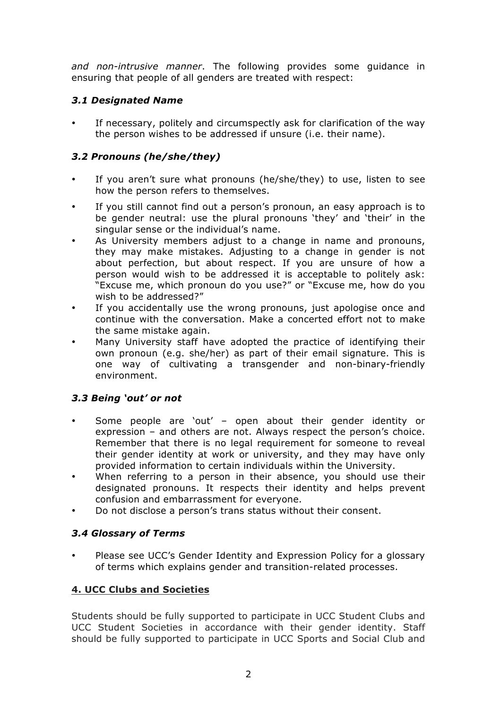*and non-intrusive manner*. The following provides some guidance in ensuring that people of all genders are treated with respect:

## *3.1 Designated Name*

If necessary, politely and circumspectly ask for clarification of the way the person wishes to be addressed if unsure (i.e. their name).

# *3.2 Pronouns (he/she/they)*

- If you aren't sure what pronouns (he/she/they) to use, listen to see how the person refers to themselves.
- If you still cannot find out a person's pronoun, an easy approach is to be gender neutral: use the plural pronouns 'they' and 'their' in the singular sense or the individual's name.
- As University members adjust to a change in name and pronouns, they may make mistakes. Adjusting to a change in gender is not about perfection, but about respect. If you are unsure of how a person would wish to be addressed it is acceptable to politely ask: "Excuse me, which pronoun do you use?" or "Excuse me, how do you wish to be addressed?"
- If you accidentally use the wrong pronouns, just apologise once and continue with the conversation. Make a concerted effort not to make the same mistake again.
- Many University staff have adopted the practice of identifying their own pronoun (e.g. she/her) as part of their email signature. This is one way of cultivating a transgender and non-binary-friendly environment.

# *3.3 Being 'out' or not*

- Some people are 'out' open about their gender identity or expression – and others are not. Always respect the person's choice. Remember that there is no legal requirement for someone to reveal their gender identity at work or university, and they may have only provided information to certain individuals within the University.
- When referring to a person in their absence, you should use their designated pronouns. It respects their identity and helps prevent confusion and embarrassment for everyone.
- Do not disclose a person's trans status without their consent.

#### *3.4 Glossary of Terms*

• Please see UCC's Gender Identity and Expression Policy for a glossary of terms which explains gender and transition-related processes.

# **4. UCC Clubs and Societies**

Students should be fully supported to participate in UCC Student Clubs and UCC Student Societies in accordance with their gender identity. Staff should be fully supported to participate in UCC Sports and Social Club and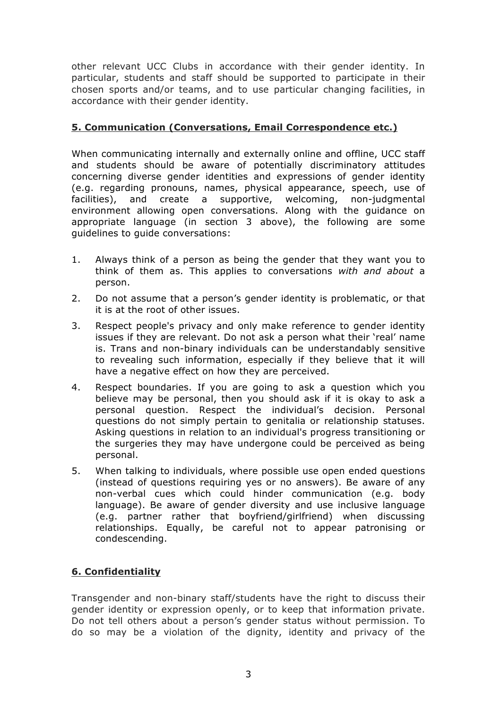other relevant UCC Clubs in accordance with their gender identity. In particular, students and staff should be supported to participate in their chosen sports and/or teams, and to use particular changing facilities, in accordance with their gender identity.

## **5. Communication (Conversations, Email Correspondence etc.)**

When communicating internally and externally online and offline, UCC staff and students should be aware of potentially discriminatory attitudes concerning diverse gender identities and expressions of gender identity (e.g. regarding pronouns, names, physical appearance, speech, use of facilities), and create a supportive, welcoming, non-judgmental environment allowing open conversations. Along with the guidance on appropriate language (in section 3 above), the following are some guidelines to guide conversations:

- 1. Always think of a person as being the gender that they want you to think of them as. This applies to conversations *with and about* a person.
- 2. Do not assume that a person's gender identity is problematic, or that it is at the root of other issues.
- 3. Respect people's privacy and only make reference to gender identity issues if they are relevant. Do not ask a person what their 'real' name is. Trans and non-binary individuals can be understandably sensitive to revealing such information, especially if they believe that it will have a negative effect on how they are perceived.
- 4. Respect boundaries. If you are going to ask a question which you believe may be personal, then you should ask if it is okay to ask a personal question. Respect the individual's decision. Personal questions do not simply pertain to genitalia or relationship statuses. Asking questions in relation to an individual's progress transitioning or the surgeries they may have undergone could be perceived as being personal.
- 5. When talking to individuals, where possible use open ended questions (instead of questions requiring yes or no answers). Be aware of any non-verbal cues which could hinder communication (e.g. body language). Be aware of gender diversity and use inclusive language (e.g. partner rather that boyfriend/girlfriend) when discussing relationships. Equally, be careful not to appear patronising or condescending.

# **6. Confidentiality**

Transgender and non-binary staff/students have the right to discuss their gender identity or expression openly, or to keep that information private. Do not tell others about a person's gender status without permission. To do so may be a violation of the dignity, identity and privacy of the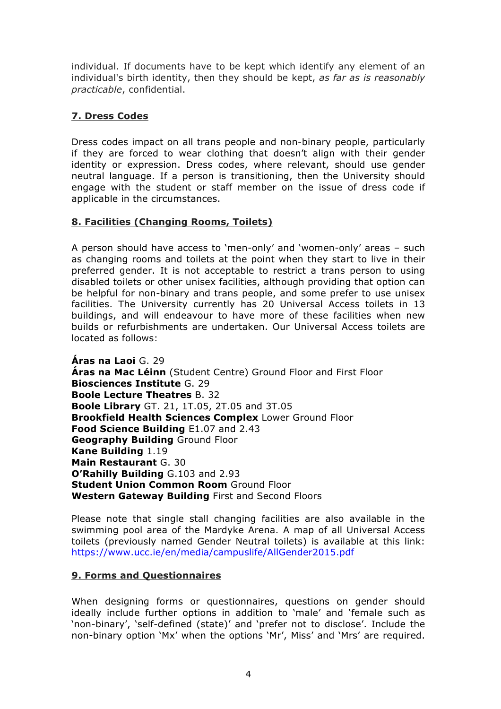individual. If documents have to be kept which identify any element of an individual's birth identity, then they should be kept, *as far as is reasonably practicable*, confidential.

# **7. Dress Codes**

Dress codes impact on all trans people and non-binary people, particularly if they are forced to wear clothing that doesn't align with their gender identity or expression. Dress codes, where relevant, should use gender neutral language. If a person is transitioning, then the University should engage with the student or staff member on the issue of dress code if applicable in the circumstances.

# **8. Facilities (Changing Rooms, Toilets)**

A person should have access to 'men-only' and 'women-only' areas – such as changing rooms and toilets at the point when they start to live in their preferred gender. It is not acceptable to restrict a trans person to using disabled toilets or other unisex facilities, although providing that option can be helpful for non-binary and trans people, and some prefer to use unisex facilities. The University currently has 20 Universal Access toilets in 13 buildings, and will endeavour to have more of these facilities when new builds or refurbishments are undertaken. Our Universal Access toilets are located as follows:

**Áras na Laoi** G. 29 **Áras na Mac Léinn** (Student Centre) Ground Floor and First Floor **Biosciences Institute** G. 29 **Boole Lecture Theatres** B. 32 **Boole Library** GT. 21, 1T.05, 2T.05 and 3T.05 **Brookfield Health Sciences Complex** Lower Ground Floor **Food Science Building** E1.07 and 2.43 **Geography Building** Ground Floor **Kane Building** 1.19 **Main Restaurant** G. 30 **O'Rahilly Building** G.103 and 2.93 **Student Union Common Room** Ground Floor **Western Gateway Building** First and Second Floors

Please note that single stall changing facilities are also available in the swimming pool area of the Mardyke Arena. A map of all Universal Access toilets (previously named Gender Neutral toilets) is available at this link: https://www.ucc.ie/en/media/campuslife/AllGender2015.pdf

# **9. Forms and Questionnaires**

When designing forms or questionnaires, questions on gender should ideally include further options in addition to 'male' and 'female such as 'non-binary', 'self-defined (state)' and 'prefer not to disclose'. Include the non-binary option 'Mx' when the options 'Mr', Miss' and 'Mrs' are required.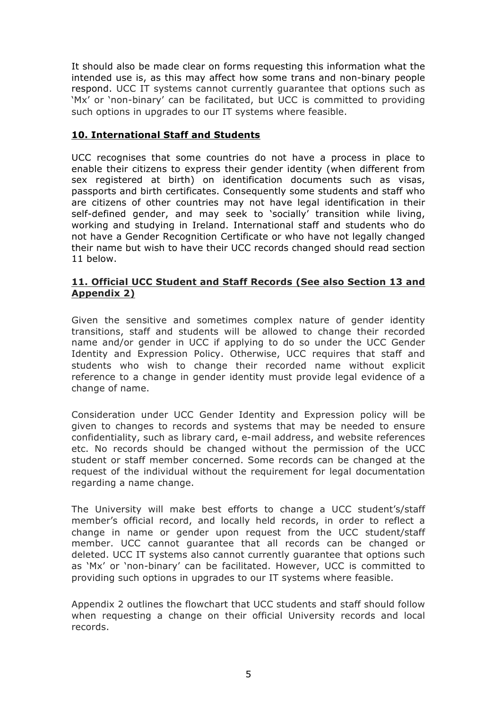It should also be made clear on forms requesting this information what the intended use is, as this may affect how some trans and non-binary people respond. UCC IT systems cannot currently guarantee that options such as 'Mx' or 'non-binary' can be facilitated, but UCC is committed to providing such options in upgrades to our IT systems where feasible.

## **10. International Staff and Students**

UCC recognises that some countries do not have a process in place to enable their citizens to express their gender identity (when different from sex registered at birth) on identification documents such as visas, passports and birth certificates. Consequently some students and staff who are citizens of other countries may not have legal identification in their self-defined gender, and may seek to 'socially' transition while living, working and studying in Ireland. International staff and students who do not have a Gender Recognition Certificate or who have not legally changed their name but wish to have their UCC records changed should read section 11 below.

#### **11. Official UCC Student and Staff Records (See also Section 13 and Appendix 2)**

Given the sensitive and sometimes complex nature of gender identity transitions, staff and students will be allowed to change their recorded name and/or gender in UCC if applying to do so under the UCC Gender Identity and Expression Policy. Otherwise, UCC requires that staff and students who wish to change their recorded name without explicit reference to a change in gender identity must provide legal evidence of a change of name.

Consideration under UCC Gender Identity and Expression policy will be given to changes to records and systems that may be needed to ensure confidentiality, such as library card, e-mail address, and website references etc. No records should be changed without the permission of the UCC student or staff member concerned. Some records can be changed at the request of the individual without the requirement for legal documentation regarding a name change.

The University will make best efforts to change a UCC student's/staff member's official record, and locally held records, in order to reflect a change in name or gender upon request from the UCC student/staff member. UCC cannot guarantee that all records can be changed or deleted. UCC IT systems also cannot currently guarantee that options such as 'Mx' or 'non-binary' can be facilitated. However, UCC is committed to providing such options in upgrades to our IT systems where feasible.

Appendix 2 outlines the flowchart that UCC students and staff should follow when requesting a change on their official University records and local records.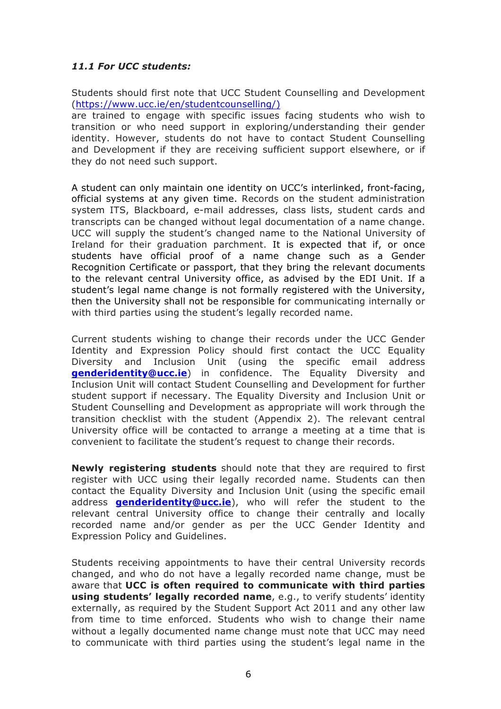## *11.1 For UCC students:*

Students should first note that UCC Student Counselling and Development (https://www.ucc.ie/en/studentcounselling/)

are trained to engage with specific issues facing students who wish to transition or who need support in exploring/understanding their gender identity. However, students do not have to contact Student Counselling and Development if they are receiving sufficient support elsewhere, or if they do not need such support.

A student can only maintain one identity on UCC's interlinked, front-facing, official systems at any given time. Records on the student administration system ITS, Blackboard, e-mail addresses, class lists, student cards and transcripts can be changed without legal documentation of a name change. UCC will supply the student's changed name to the National University of Ireland for their graduation parchment. It is expected that if, or once students have official proof of a name change such as a Gender Recognition Certificate or passport, that they bring the relevant documents to the relevant central University office, as advised by the EDI Unit. If a student's legal name change is not formally registered with the University, then the University shall not be responsible for communicating internally or with third parties using the student's legally recorded name.

Current students wishing to change their records under the UCC Gender Identity and Expression Policy should first contact the UCC Equality Diversity and Inclusion Unit (using the specific email address **genderidentity@ucc.ie**) in confidence. The Equality Diversity and Inclusion Unit will contact Student Counselling and Development for further student support if necessary. The Equality Diversity and Inclusion Unit or Student Counselling and Development as appropriate will work through the transition checklist with the student (Appendix 2). The relevant central University office will be contacted to arrange a meeting at a time that is convenient to facilitate the student's request to change their records.

**Newly registering students** should note that they are required to first register with UCC using their legally recorded name. Students can then contact the Equality Diversity and Inclusion Unit (using the specific email address **genderidentity@ucc.ie**), who will refer the student to the relevant central University office to change their centrally and locally recorded name and/or gender as per the UCC Gender Identity and Expression Policy and Guidelines.

Students receiving appointments to have their central University records changed, and who do not have a legally recorded name change, must be aware that **UCC is often required to communicate with third parties using students' legally recorded name**, e.g., to verify students' identity externally, as required by the Student Support Act 2011 and any other law from time to time enforced. Students who wish to change their name without a legally documented name change must note that UCC may need to communicate with third parties using the student's legal name in the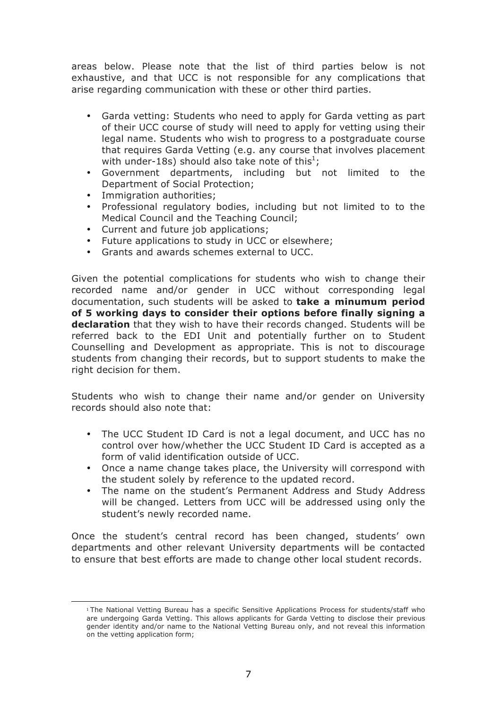areas below. Please note that the list of third parties below is not exhaustive, and that UCC is not responsible for any complications that arise regarding communication with these or other third parties.

- Garda vetting: Students who need to apply for Garda vetting as part of their UCC course of study will need to apply for vetting using their legal name. Students who wish to progress to a postgraduate course that requires Garda Vetting (e.g. any course that involves placement with under-18s) should also take note of this<sup>1</sup>;
- Government departments, including but not limited to the Department of Social Protection;
- Immigration authorities;

<u> 1989 - Johann Stein, marwolaethau a bh</u>

- Professional regulatory bodies, including but not limited to to the Medical Council and the Teaching Council;
- Current and future job applications;
- Future applications to study in UCC or elsewhere;
- Grants and awards schemes external to UCC.

Given the potential complications for students who wish to change their recorded name and/or gender in UCC without corresponding legal documentation, such students will be asked to **take a minumum period of 5 working days to consider their options before finally signing a declaration** that they wish to have their records changed. Students will be referred back to the EDI Unit and potentially further on to Student Counselling and Development as appropriate. This is not to discourage students from changing their records, but to support students to make the right decision for them.

Students who wish to change their name and/or gender on University records should also note that:

- The UCC Student ID Card is not a legal document, and UCC has no control over how/whether the UCC Student ID Card is accepted as a form of valid identification outside of UCC.
- Once a name change takes place, the University will correspond with the student solely by reference to the updated record.
- The name on the student's Permanent Address and Study Address will be changed. Letters from UCC will be addressed using only the student's newly recorded name.

Once the student's central record has been changed, students' own departments and other relevant University departments will be contacted to ensure that best efforts are made to change other local student records.

<sup>1</sup> The National Vetting Bureau has a specific Sensitive Applications Process for students/staff who are undergoing Garda Vetting. This allows applicants for Garda Vetting to disclose their previous gender identity and/or name to the National Vetting Bureau only, and not reveal this information on the vetting application form;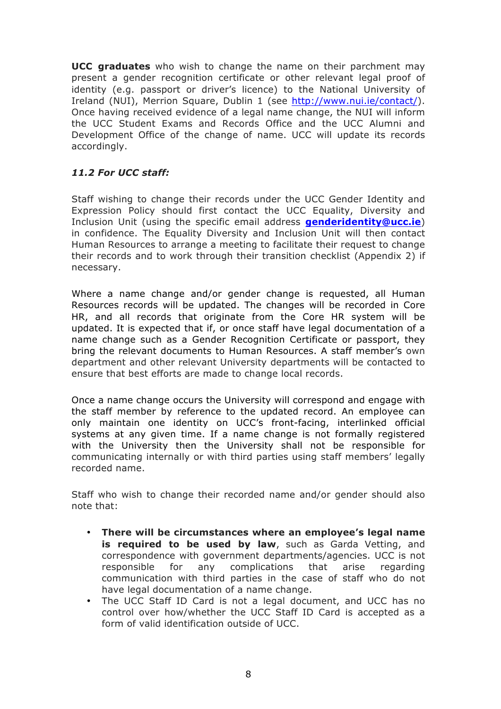**UCC graduates** who wish to change the name on their parchment may present a gender recognition certificate or other relevant legal proof of identity (e.g. passport or driver's licence) to the National University of Ireland (NUI), Merrion Square, Dublin 1 (see http://www.nui.ie/contact/). Once having received evidence of a legal name change, the NUI will inform the UCC Student Exams and Records Office and the UCC Alumni and Development Office of the change of name. UCC will update its records accordingly.

# *11.2 For UCC staff:*

Staff wishing to change their records under the UCC Gender Identity and Expression Policy should first contact the UCC Equality, Diversity and Inclusion Unit (using the specific email address **genderidentity@ucc.ie**) in confidence. The Equality Diversity and Inclusion Unit will then contact Human Resources to arrange a meeting to facilitate their request to change their records and to work through their transition checklist (Appendix 2) if necessary.

Where a name change and/or gender change is requested, all Human Resources records will be updated. The changes will be recorded in Core HR, and all records that originate from the Core HR system will be updated. It is expected that if, or once staff have legal documentation of a name change such as a Gender Recognition Certificate or passport, they bring the relevant documents to Human Resources. A staff member's own department and other relevant University departments will be contacted to ensure that best efforts are made to change local records.

Once a name change occurs the University will correspond and engage with the staff member by reference to the updated record. An employee can only maintain one identity on UCC's front-facing, interlinked official systems at any given time. If a name change is not formally registered with the University then the University shall not be responsible for communicating internally or with third parties using staff members' legally recorded name.

Staff who wish to change their recorded name and/or gender should also note that:

- **There will be circumstances where an employee's legal name is required to be used by law**, such as Garda Vetting, and correspondence with government departments/agencies. UCC is not responsible for any complications that arise regarding communication with third parties in the case of staff who do not have legal documentation of a name change.
- The UCC Staff ID Card is not a legal document, and UCC has no control over how/whether the UCC Staff ID Card is accepted as a form of valid identification outside of UCC.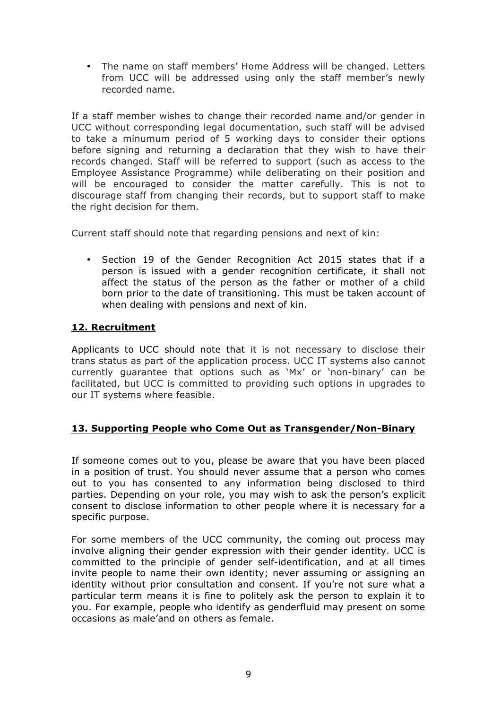• The name on staff members' Home Address will be changed. Letters from UCC will be addressed using only the staff member's newly recorded name.

If a staff member wishes to change their recorded name and/or gender in UCC without corresponding legal documentation, such staff will be advised to take a minumum period of 5 working days to consider their options before signing and returning a declaration that they wish to have their records changed. Staff will be referred to support (such as access to the Employee Assistance Programme) while deliberating on their position and will be encouraged to consider the matter carefully. This is not to discourage staff from changing their records, but to support staff to make the right decision for them.

Current staff should note that regarding pensions and next of kin:

• Section 19 of the Gender Recognition Act 2015 states that if a person is issued with a gender recognition certificate, it shall not affect the status of the person as the father or mother of a child born prior to the date of transitioning. This must be taken account of when dealing with pensions and next of kin.

## **12. Recruitment**

Applicants to UCC should note that it is not necessary to disclose their trans status as part of the application process. UCC IT systems also cannot currently guarantee that options such as 'Mx' or 'non-binary' can be facilitated, but UCC is committed to providing such options in upgrades to our IT systems where feasible.

#### **13. Supporting People who Come Out as Transgender/Non-Binary**

If someone comes out to you, please be aware that you have been placed in a position of trust. You should never assume that a person who comes out to you has consented to any information being disclosed to third parties. Depending on your role, you may wish to ask the person's explicit consent to disclose information to other people where it is necessary for a specific purpose.

For some members of the UCC community, the coming out process may involve aligning their gender expression with their gender identity. UCC is committed to the principle of gender self-identification, and at all times invite people to name their own identity; never assuming or assigning an identity without prior consultation and consent. If you're not sure what a particular term means it is fine to politely ask the person to explain it to you. For example, people who identify as genderfluid may present on some occasions as male'and on others as female.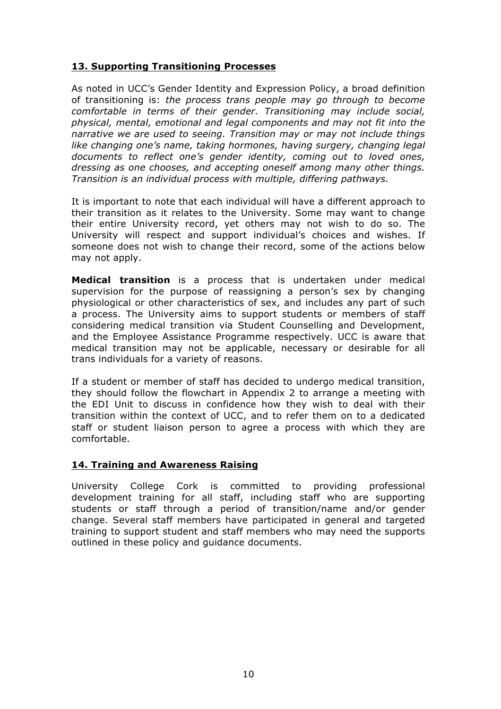## **13. Supporting Transitioning Processes**

As noted in UCC's Gender Identity and Expression Policy, a broad definition of transitioning is: *the process trans people may go through to become comfortable in terms of their gender. Transitioning may include social, physical, mental, emotional and legal components and may not fit into the narrative we are used to seeing. Transition may or may not include things like changing one's name, taking hormones, having surgery, changing legal documents to reflect one's gender identity, coming out to loved ones, dressing as one chooses, and accepting oneself among many other things. Transition is an individual process with multiple, differing pathways.*

It is important to note that each individual will have a different approach to their transition as it relates to the University. Some may want to change their entire University record, yet others may not wish to do so. The University will respect and support individual's choices and wishes. If someone does not wish to change their record, some of the actions below may not apply.

**Medical transition** is a process that is undertaken under medical supervision for the purpose of reassigning a person's sex by changing physiological or other characteristics of sex, and includes any part of such a process. The University aims to support students or members of staff considering medical transition via Student Counselling and Development, and the Employee Assistance Programme respectively. UCC is aware that medical transition may not be applicable, necessary or desirable for all trans individuals for a variety of reasons.

If a student or member of staff has decided to undergo medical transition, they should follow the flowchart in Appendix 2 to arrange a meeting with the EDI Unit to discuss in confidence how they wish to deal with their transition within the context of UCC, and to refer them on to a dedicated staff or student liaison person to agree a process with which they are comfortable.

#### **14. Training and Awareness Raising**

University College Cork is committed to providing professional development training for all staff, including staff who are supporting students or staff through a period of transition/name and/or gender change. Several staff members have participated in general and targeted training to support student and staff members who may need the supports outlined in these policy and guidance documents.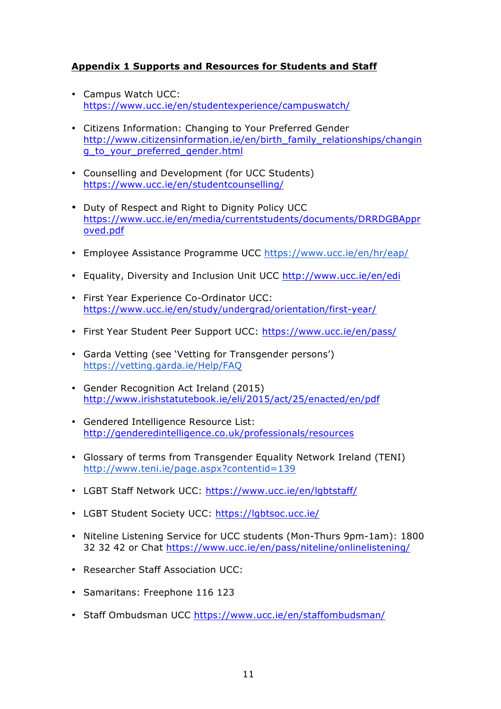## **Appendix 1 Supports and Resources for Students and Staff**

- Campus Watch UCC: https://www.ucc.ie/en/studentexperience/campuswatch/
- Citizens Information: Changing to Your Preferred Gender http://www.citizensinformation.ie/en/birth\_family\_relationships/changin g\_to\_your\_preferred\_gender.html
- Counselling and Development (for UCC Students) https://www.ucc.ie/en/studentcounselling/
- Duty of Respect and Right to Dignity Policy UCC https://www.ucc.ie/en/media/currentstudents/documents/DRRDGBAppr oved.pdf
- Employee Assistance Programme UCC https://www.ucc.ie/en/hr/eap/
- Equality, Diversity and Inclusion Unit UCC http://www.ucc.ie/en/edi
- First Year Experience Co-Ordinator UCC: https://www.ucc.ie/en/study/undergrad/orientation/first-year/
- First Year Student Peer Support UCC: https://www.ucc.ie/en/pass/
- Garda Vetting (see 'Vetting for Transgender persons') https://vetting.garda.ie/Help/FAQ
- Gender Recognition Act Ireland (2015) http://www.irishstatutebook.ie/eli/2015/act/25/enacted/en/pdf
- Gendered Intelligence Resource List: http://genderedintelligence.co.uk/professionals/resources
- Glossary of terms from Transgender Equality Network Ireland (TENI) http://www.teni.ie/page.aspx?contentid=139
- LGBT Staff Network UCC: https://www.ucc.ie/en/lgbtstaff/
- LGBT Student Society UCC: https://lgbtsoc.ucc.ie/
- Niteline Listening Service for UCC students (Mon-Thurs 9pm-1am): 1800 32 32 42 or Chat https://www.ucc.ie/en/pass/niteline/onlinelistening/
- Researcher Staff Association UCC:
- Samaritans: Freephone 116 123
- Staff Ombudsman UCC https://www.ucc.ie/en/staffombudsman/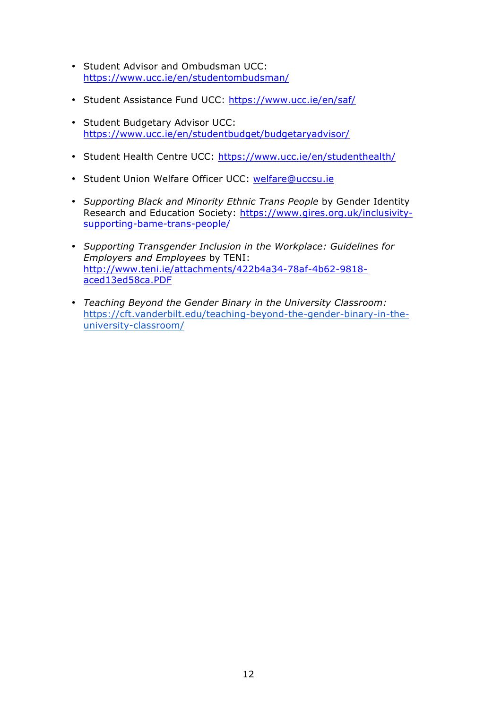- Student Advisor and Ombudsman UCC: https://www.ucc.ie/en/studentombudsman/
- Student Assistance Fund UCC: https://www.ucc.ie/en/saf/
- Student Budgetary Advisor UCC: https://www.ucc.ie/en/studentbudget/budgetaryadvisor/
- Student Health Centre UCC: https://www.ucc.ie/en/studenthealth/
- Student Union Welfare Officer UCC: welfare@uccsu.ie
- *Supporting Black and Minority Ethnic Trans People* by Gender Identity Research and Education Society: https://www.gires.org.uk/inclusivitysupporting-bame-trans-people/
- *Supporting Transgender Inclusion in the Workplace: Guidelines for Employers and Employees* by TENI: http://www.teni.ie/attachments/422b4a34-78af-4b62-9818 aced13ed58ca.PDF
- *Teaching Beyond the Gender Binary in the University Classroom:* https://cft.vanderbilt.edu/teaching-beyond-the-gender-binary-in-theuniversity-classroom/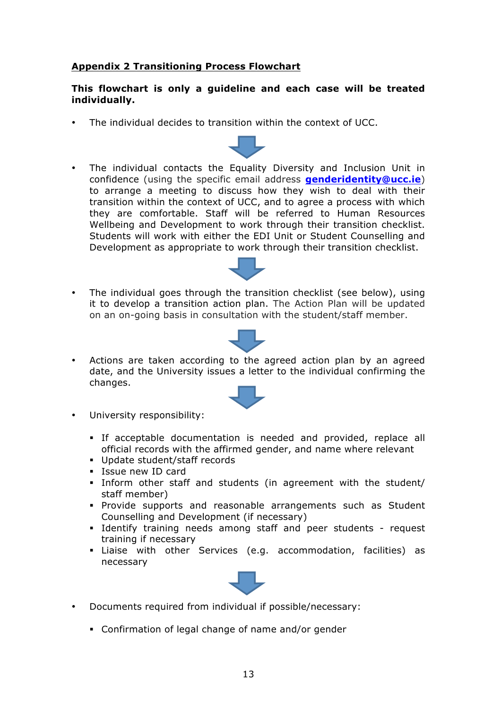## **Appendix 2 Transitioning Process Flowchart**

#### **This flowchart is only a guideline and each case will be treated individually.**

- The individual decides to transition within the context of UCC.
- The individual contacts the Equality Diversity and Inclusion Unit in confidence (using the specific email address **genderidentity@ucc.ie**) to arrange a meeting to discuss how they wish to deal with their transition within the context of UCC, and to agree a process with which they are comfortable. Staff will be referred to Human Resources Wellbeing and Development to work through their transition checklist. Students will work with either the EDI Unit or Student Counselling and Development as appropriate to work through their transition checklist.
- The individual goes through the transition checklist (see below), using it to develop a transition action plan. The Action Plan will be updated on an on-going basis in consultation with the student/staff member.



• Actions are taken according to the agreed action plan by an agreed date, and the University issues a letter to the individual confirming the changes.



- University responsibility:
	- § If acceptable documentation is needed and provided, replace all official records with the affirmed gender, and name where relevant
	- § Update student/staff records
	- § Issue new ID card
	- § Inform other staff and students (in agreement with the student/ staff member)
	- § Provide supports and reasonable arrangements such as Student Counselling and Development (if necessary)
	- § Identify training needs among staff and peer students request training if necessary
	- § Liaise with other Services (e.g. accommodation, facilities) as necessary



- Documents required from individual if possible/necessary:
	- § Confirmation of legal change of name and/or gender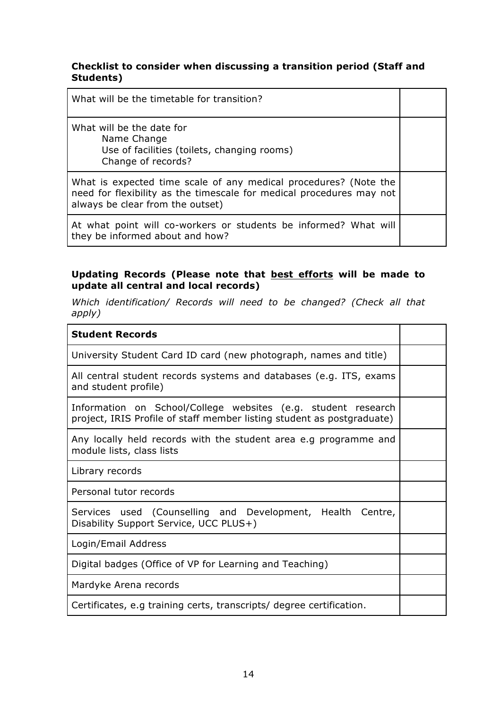## **Checklist to consider when discussing a transition period (Staff and Students)**

What will be the date for Name Change Use of facilities (toilets, changing rooms) Change of records?

What is expected time scale of any medical procedures? (Note the need for flexibility as the timescale for medical procedures may not always be clear from the outset)

At what point will co-workers or students be informed? What will they be informed about and how?

## **Updating Records (Please note that best efforts will be made to update all central and local records)**

*Which identification/ Records will need to be changed? (Check all that apply)*

| <b>Student Records</b>                                                                                                                  |  |
|-----------------------------------------------------------------------------------------------------------------------------------------|--|
| University Student Card ID card (new photograph, names and title)                                                                       |  |
| All central student records systems and databases (e.g. ITS, exams<br>and student profile)                                              |  |
| Information on School/College websites (e.g. student research<br>project, IRIS Profile of staff member listing student as postgraduate) |  |
| Any locally held records with the student area e.g programme and<br>module lists, class lists                                           |  |
| Library records                                                                                                                         |  |
| Personal tutor records                                                                                                                  |  |
| Services used (Counselling and Development, Health Centre,<br>Disability Support Service, UCC PLUS+)                                    |  |
| Login/Email Address                                                                                                                     |  |
| Digital badges (Office of VP for Learning and Teaching)                                                                                 |  |
| Mardyke Arena records                                                                                                                   |  |
| Certificates, e.g training certs, transcripts/ degree certification.                                                                    |  |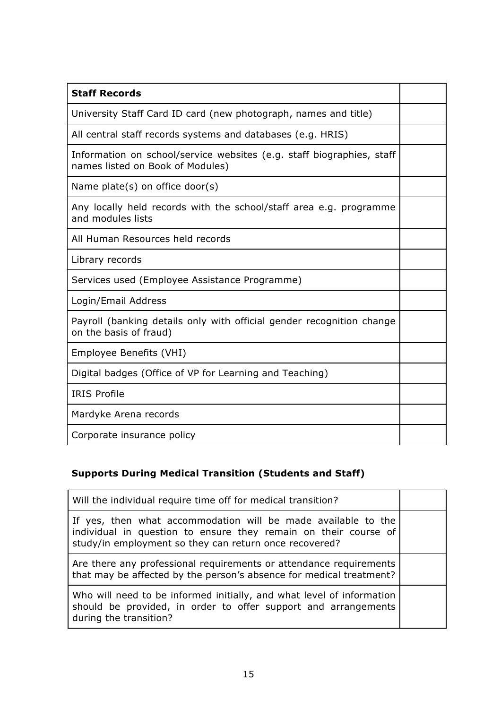| <b>Staff Records</b>                                                                                      |  |
|-----------------------------------------------------------------------------------------------------------|--|
| University Staff Card ID card (new photograph, names and title)                                           |  |
| All central staff records systems and databases (e.g. HRIS)                                               |  |
| Information on school/service websites (e.g. staff biographies, staff<br>names listed on Book of Modules) |  |
| Name plate(s) on office door(s)                                                                           |  |
| Any locally held records with the school/staff area e.g. programme<br>and modules lists                   |  |
| All Human Resources held records                                                                          |  |
| Library records                                                                                           |  |
| Services used (Employee Assistance Programme)                                                             |  |
| Login/Email Address                                                                                       |  |
| Payroll (banking details only with official gender recognition change<br>on the basis of fraud)           |  |
| Employee Benefits (VHI)                                                                                   |  |
| Digital badges (Office of VP for Learning and Teaching)                                                   |  |
| <b>IRIS Profile</b>                                                                                       |  |
| Mardyke Arena records                                                                                     |  |
| Corporate insurance policy                                                                                |  |

# **Supports During Medical Transition (Students and Staff)**

| Will the individual require time off for medical transition?                                                                                                                               |  |
|--------------------------------------------------------------------------------------------------------------------------------------------------------------------------------------------|--|
| If yes, then what accommodation will be made available to the<br>individual in question to ensure they remain on their course of<br>study/in employment so they can return once recovered? |  |
| Are there any professional requirements or attendance requirements<br>that may be affected by the person's absence for medical treatment?                                                  |  |
| Who will need to be informed initially, and what level of information<br>should be provided, in order to offer support and arrangements<br>during the transition?                          |  |